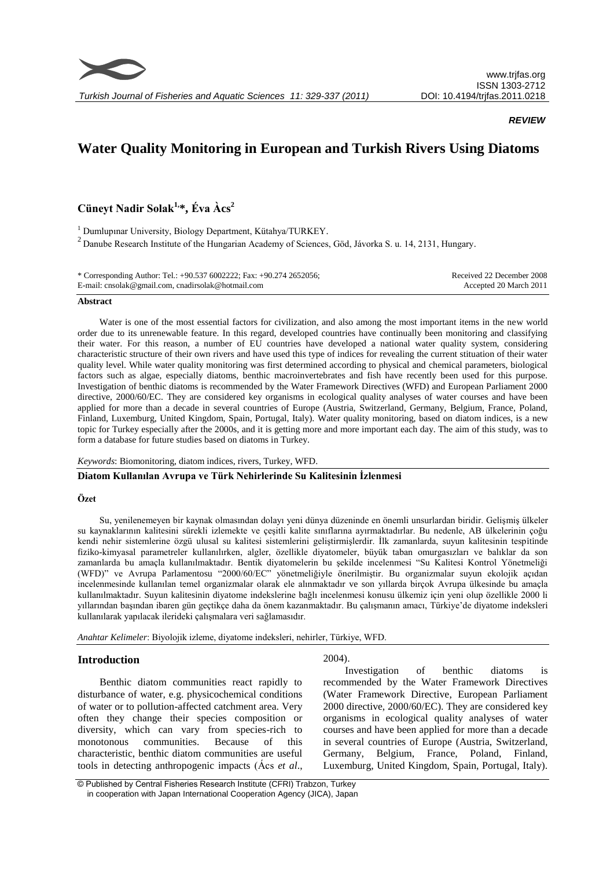

*REVIEW*

# **Water Quality Monitoring in European and Turkish Rivers Using Diatoms**

**Cüneyt Nadir Solak1,\*, Éva Àcs<sup>2</sup>**

<sup>1</sup> Dumlupınar University, Biology Department, Kütahya/TURKEY.

<sup>2</sup> Danube Research Institute of the Hungarian Academy of Sciences, Göd, Jávorka S. u. 14, 2131, Hungary.

| * Corresponding Author: Tel.: +90.537 6002222; Fax: +90.274 2652056; | Received 22 December 2008 |
|----------------------------------------------------------------------|---------------------------|
| E-mail: cnsolak@gmail.com, cnadirsolak@hotmail.com                   | Accepted 20 March 2011    |

# **Abstract**

Water is one of the most essential factors for civilization, and also among the most important items in the new world order due to its unrenewable feature. In this regard, developed countries have continually been monitoring and classifying their water. For this reason, a number of EU countries have developed a national water quality system, considering characteristic structure of their own rivers and have used this type of indices for revealing the current stituation of their water quality level. While water quality monitoring was first determined according to physical and chemical parameters, biological factors such as algae, especially diatoms, benthic macroinvertebrates and fish have recently been used for this purpose. Investigation of benthic diatoms is recommended by the Water Framework Directives (WFD) and European Parliament 2000 directive, 2000/60/EC. They are considered key organisms in ecological quality analyses of water courses and have been applied for more than a decade in several countries of Europe (Austria, Switzerland, Germany, Belgium, France, Poland, Finland, Luxemburg, United Kingdom, Spain, Portugal, Italy). Water quality monitoring, based on diatom indices, is a new topic for Turkey especially after the 2000s, and it is getting more and more important each day. The aim of this study, was to form a database for future studies based on diatoms in Turkey.

*Keywords*: Biomonitoring, diatom indices, rivers, Turkey, WFD.

**Diatom Kullanılan Avrupa ve Türk Nehirlerinde Su Kalitesinin İzlenmesi**

#### **Özet**

Su, yenilenemeyen bir kaynak olmasından dolayı yeni dünya düzeninde en önemli unsurlardan biridir. Gelişmiş ülkeler su kaynaklarının kalitesini sürekli izlemekte ve çeşitli kalite sınıflarına ayırmaktadırlar. Bu nedenle, AB ülkelerinin çoğu kendi nehir sistemlerine özgü ulusal su kalitesi sistemlerini geliştirmişlerdir. İlk zamanlarda, suyun kalitesinin tespitinde fiziko-kimyasal parametreler kullanılırken, algler, özellikle diyatomeler, büyük taban omurgasızları ve balıklar da son zamanlarda bu amaçla kullanılmaktadır. Bentik diyatomelerin bu şekilde incelenmesi "Su Kalitesi Kontrol Yönetmeliği (WFD)" ve Avrupa Parlamentosu "2000/60/EC" yönetmeliğiyle önerilmiştir. Bu organizmalar suyun ekolojik açıdan incelenmesinde kullanılan temel organizmalar olarak ele alınmaktadır ve son yıllarda birçok Avrupa ülkesinde bu amaçla kullanılmaktadır. Suyun kalitesinin diyatome indekslerine bağlı incelenmesi konusu ülkemiz için yeni olup özellikle 2000 li yıllarından başından ibaren gün geçtikçe daha da önem kazanmaktadır. Bu çalışmanın amacı, Türkiye'de diyatome indeksleri kullanılarak yapılacak ilerideki çalışmalara veri sağlamasıdır.

*Anahtar Kelimeler*: Biyolojik izleme, diyatome indeksleri, nehirler, Türkiye, WFD.

# **Introduction**

Benthic diatom communities react rapidly to disturbance of water, e.g. physicochemical conditions of water or to pollution-affected catchment area. Very often they change their species composition or diversity, which can vary from species-rich to monotonous communities. Because of this characteristic, benthic diatom communities are useful tools in detecting anthropogenic impacts (Ács *et al*., 2004).

Investigation of benthic diatoms is recommended by the Water Framework Directives (Water Framework Directive, European Parliament 2000 directive, 2000/60/EC). They are considered key organisms in ecological quality analyses of water courses and have been applied for more than a decade in several countries of Europe (Austria, Switzerland, Germany, Belgium, France, Poland, Finland, Luxemburg, United Kingdom, Spain, Portugal, Italy).

<sup>©</sup> Published by Central Fisheries Research Institute (CFRI) Trabzon, Turkey in cooperation with Japan International Cooperation Agency (JICA), Japan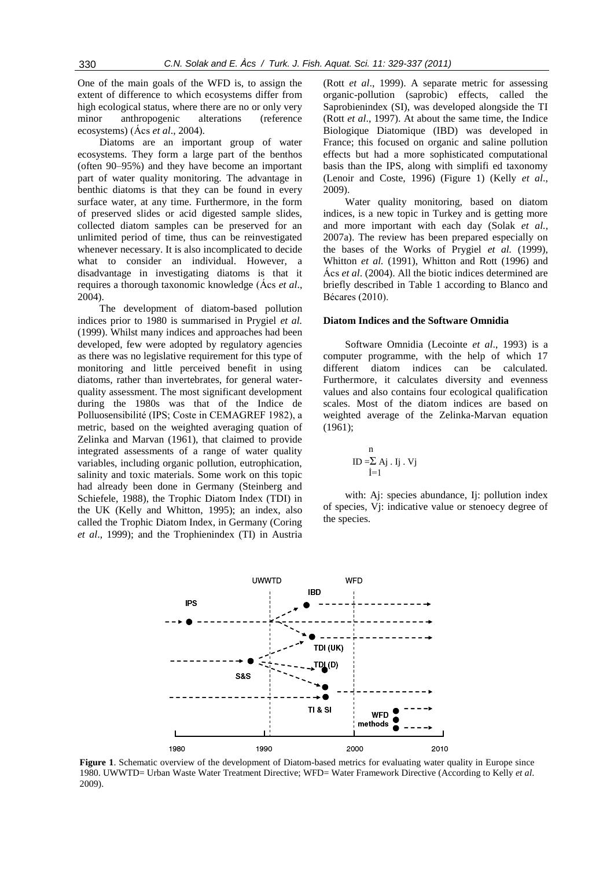One of the main goals of the WFD is, to assign the extent of difference to which ecosystems differ from high ecological status, where there are no or only very minor anthropogenic alterations (reference ecosystems) (Ács *et al*., 2004).

Diatoms are an important group of water ecosystems. They form a large part of the benthos (often 90–95%) and they have become an important part of water quality monitoring. The advantage in benthic diatoms is that they can be found in every surface water, at any time. Furthermore, in the form of preserved slides or acid digested sample slides, collected diatom samples can be preserved for an unlimited period of time, thus can be reinvestigated whenever necessary. It is also incomplicated to decide what to consider an individual. However, a disadvantage in investigating diatoms is that it requires a thorough taxonomic knowledge (Ács *et al*., 2004).

The development of diatom-based pollution indices prior to 1980 is summarised in Prygiel *et al.*  (1999). Whilst many indices and approaches had been developed, few were adopted by regulatory agencies as there was no legislative requirement for this type of monitoring and little perceived benefit in using diatoms, rather than invertebrates, for general waterquality assessment. The most significant development during the 1980s was that of the Indice de Polluosensibilité (IPS; Coste in CEMAGREF 1982), a metric, based on the weighted averaging quation of Zelinka and Marvan (1961), that claimed to provide integrated assessments of a range of water quality variables, including organic pollution, eutrophication, salinity and toxic materials. Some work on this topic had already been done in Germany (Steinberg and Schiefele, 1988), the Trophic Diatom Index (TDI) in the UK (Kelly and Whitton, 1995); an index, also called the Trophic Diatom Index, in Germany (Coring *et al*., 1999); and the Trophienindex (TI) in Austria

(Rott *et al*., 1999). A separate metric for assessing organic-pollution (saprobic) effects, called the Saprobienindex (SI), was developed alongside the TI (Rott *et al*., 1997). At about the same time, the Indice Biologique Diatomique (IBD) was developed in France; this focused on organic and saline pollution effects but had a more sophisticated computational basis than the IPS, along with simplifi ed taxonomy (Lenoir and Coste, 1996) (Figure 1) (Kelly *et al*., 2009).

Water quality monitoring, based on diatom indices, is a new topic in Turkey and is getting more and more important with each day (Solak *et al.*, 2007a). The review has been prepared especially on the bases of the Works of Prygiel *et al.* (1999), Whitton *et al.* (1991), Whitton and Rott (1996) and Ács *et al*. (2004). All the biotic indices determined are briefly described in Table 1 according to Blanco and Bécares (2010).

#### **Diatom Indices and the Software Omnidia**

Software Omnidia (Lecointe *et al*., 1993) is a computer programme, with the help of which 17 different diatom indices can be calculated. Furthermore, it calculates diversity and evenness values and also contains four ecological qualification scales. Most of the diatom indices are based on weighted average of the Zelinka-Marvan equation (1961);

$$
\begin{array}{c}\nn\\ID = \sum Aj \cdot Ij \cdot Vj\\i = 1\n\end{array}
$$

with: Aj: species abundance, Ij: pollution index of species, Vj: indicative value or stenoecy degree of the species.



**Figure 1**. Schematic overview of the development of Diatom-based metrics for evaluating water quality in Europe since 1980. UWWTD= Urban Waste Water Treatment Directive; WFD= Water Framework Directive (According to Kelly *et al*. 2009).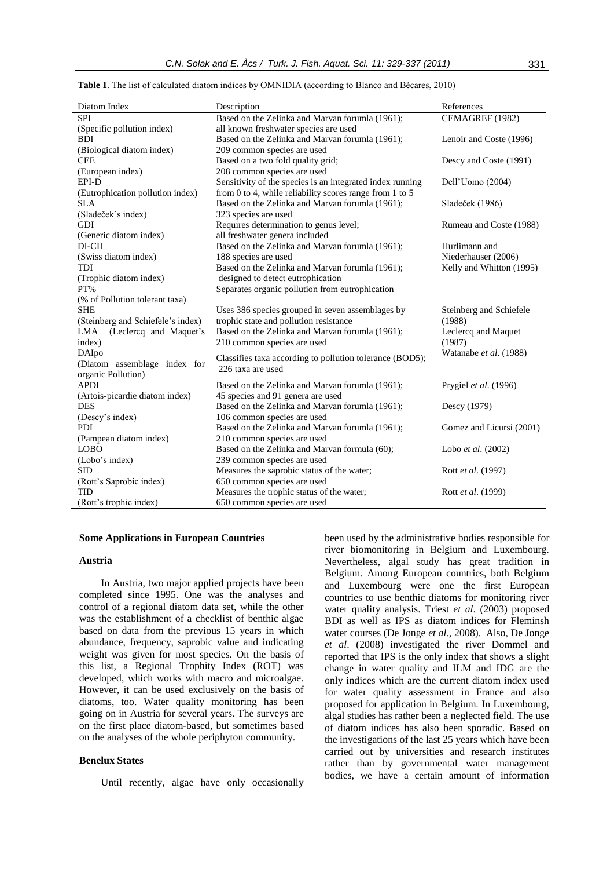| Diatom Index                                 | Description                                                                          | References               |
|----------------------------------------------|--------------------------------------------------------------------------------------|--------------------------|
| <b>SPI</b>                                   | Based on the Zelinka and Marvan forumla (1961);                                      | CEMAGREF (1982)          |
| (Specific pollution index)                   | all known freshwater species are used                                                |                          |
| <b>BDI</b>                                   | Based on the Zelinka and Marvan forumla (1961);                                      | Lenoir and Coste (1996)  |
| (Biological diatom index)                    | 209 common species are used                                                          |                          |
| <b>CEE</b>                                   | Based on a two fold quality grid;                                                    | Descy and Coste (1991)   |
| (European index)                             | 208 common species are used                                                          |                          |
| EPI-D                                        | Sensitivity of the species is an integrated index running                            | Dell'Uomo (2004)         |
| (Eutrophication pollution index)             | from 0 to 4, while reliability scores range from 1 to 5                              |                          |
| <b>SLA</b>                                   | Based on the Zelinka and Marvan forumla (1961);                                      | Sladeček (1986)          |
| (Sladeček's index)                           | 323 species are used                                                                 |                          |
| GDI                                          | Requires determination to genus level;                                               | Rumeau and Coste (1988)  |
| (Generic diatom index)                       | all freshwater genera included                                                       |                          |
| DI-CH                                        | Based on the Zelinka and Marvan forumla (1961);                                      | Hurlimann and            |
| (Swiss diatom index)                         | 188 species are used                                                                 | Niederhauser (2006)      |
| TDI                                          |                                                                                      |                          |
| (Trophic diatom index)                       | Based on the Zelinka and Marvan forumla (1961);<br>designed to detect eutrophication | Kelly and Whitton (1995) |
| PT%                                          |                                                                                      |                          |
|                                              | Separates organic pollution from eutrophication                                      |                          |
| (% of Pollution tolerant taxa)<br><b>SHE</b> |                                                                                      |                          |
|                                              | Uses 386 species grouped in seven assemblages by                                     | Steinberg and Schiefele  |
| (Steinberg and Schiefele's index)            | trophic state and pollution resistance                                               | (1988)                   |
| (Leclercq and Maquet's<br>LMA                | Based on the Zelinka and Marvan forumla (1961);                                      | Leclercq and Maquet      |
| index)                                       | 210 common species are used                                                          | (1987)                   |
| DAIpo                                        | Classifies taxa according to pollution tolerance (BOD5);                             | Watanabe et al. (1988)   |
| (Diatom assemblage index for                 | 226 taxa are used                                                                    |                          |
| organic Pollution)<br><b>APDI</b>            |                                                                                      |                          |
|                                              | Based on the Zelinka and Marvan forumla (1961);                                      | Prygiel et al. (1996)    |
| (Artois-picardie diatom index)               | 45 species and 91 genera are used                                                    |                          |
| <b>DES</b>                                   | Based on the Zelinka and Marvan forumla (1961);                                      | Descy (1979)             |
| (Descy's index)                              | 106 common species are used                                                          |                          |
| <b>PDI</b>                                   | Based on the Zelinka and Marvan forumla (1961);                                      | Gomez and Licursi (2001) |
| (Pampean diatom index)                       | 210 common species are used                                                          |                          |
| <b>LOBO</b>                                  | Based on the Zelinka and Marvan formula (60);                                        | Lobo et al. (2002)       |
| (Lobo's index)                               | 239 common species are used                                                          |                          |
| <b>SID</b>                                   | Measures the saprobic status of the water;                                           | Rott et al. (1997)       |
| (Rott's Saprobic index)                      | 650 common species are used                                                          |                          |
| TID                                          | Measures the trophic status of the water;                                            | Rott et al. (1999)       |
| (Rott's trophic index)                       | 650 common species are used                                                          |                          |

**Table 1**. The list of calculated diatom indices by OMNIDIA (according to Blanco and Bécares, 2010)

# **Some Applications in European Countries**

# **Austria**

In Austria, two major applied projects have been completed since 1995. One was the analyses and control of a regional diatom data set, while the other was the establishment of a checklist of benthic algae based on data from the previous 15 years in which abundance, frequency, saprobic value and indicating weight was given for most species. On the basis of this list, a Regional Trophity Index (ROT) was developed, which works with macro and microalgae. However, it can be used exclusively on the basis of diatoms, too. Water quality monitoring has been going on in Austria for several years. The surveys are on the first place diatom-based, but sometimes based on the analyses of the whole periphyton community.

## **Benelux States**

Until recently, algae have only occasionally

been used by the administrative bodies responsible for river biomonitoring in Belgium and Luxembourg. Nevertheless, algal study has great tradition in Belgium. Among European countries, both Belgium and Luxembourg were one the first European countries to use benthic diatoms for monitoring river water quality analysis. Triest *et al*. (2003) proposed BDI as well as IPS as diatom indices for Fleminsh water courses (De Jonge *et al*., 2008). Also, De Jonge *et al*. (2008) investigated the river Dommel and reported that IPS is the only index that shows a slight change in water quality and ILM and IDG are the only indices which are the current diatom index used for water quality assessment in France and also proposed for application in Belgium. In Luxembourg, algal studies has rather been a neglected field. The use of diatom indices has also been sporadic. Based on the investigations of the last 25 years which have been carried out by universities and research institutes rather than by governmental water management bodies, we have a certain amount of information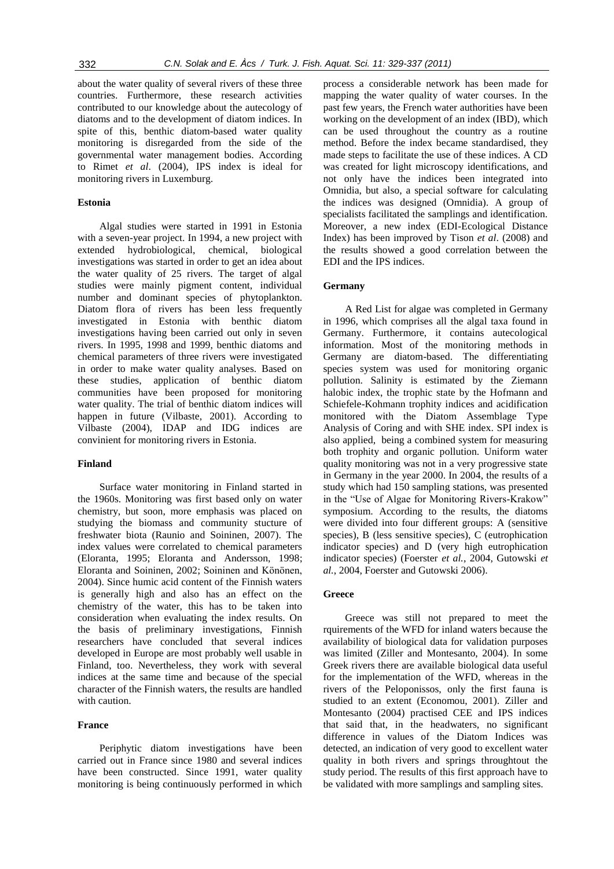about the water quality of several rivers of these three countries. Furthermore, these research activities contributed to our knowledge about the autecology of diatoms and to the development of diatom indices. In spite of this, benthic diatom-based water quality monitoring is disregarded from the side of the governmental water management bodies. According to Rimet *et al*. (2004), IPS index is ideal for monitoring rivers in Luxemburg.

# **Estonia**

Algal studies were started in 1991 in Estonia with a seven-year project. In 1994, a new project with extended hydrobiological, chemical, biological investigations was started in order to get an idea about the water quality of 25 rivers. The target of algal studies were mainly pigment content, individual number and dominant species of phytoplankton. Diatom flora of rivers has been less frequently investigated in Estonia with benthic diatom investigations having been carried out only in seven rivers. In 1995, 1998 and 1999, benthic diatoms and chemical parameters of three rivers were investigated in order to make water quality analyses. Based on these studies, application of benthic diatom communities have been proposed for monitoring water quality. The trial of benthic diatom indices will happen in future (Vilbaste, 2001). According to Vilbaste (2004), IDAP and IDG indices are convinient for monitoring rivers in Estonia.

#### **Finland**

Surface water monitoring in Finland started in the 1960s. Monitoring was first based only on water chemistry, but soon, more emphasis was placed on studying the biomass and community stucture of freshwater biota (Raunio and Soininen, 2007). The index values were correlated to chemical parameters (Eloranta, 1995; Eloranta and Andersson, 1998; Eloranta and Soininen, 2002; Soininen and Könönen, 2004). Since humic acid content of the Finnish waters is generally high and also has an effect on the chemistry of the water, this has to be taken into consideration when evaluating the index results. On the basis of preliminary investigations, Finnish researchers have concluded that several indices developed in Europe are most probably well usable in Finland, too. Nevertheless, they work with several indices at the same time and because of the special character of the Finnish waters, the results are handled with caution.

# **France**

Periphytic diatom investigations have been carried out in France since 1980 and several indices have been constructed. Since 1991, water quality monitoring is being continuously performed in which

process a considerable network has been made for mapping the water quality of water courses. In the past few years, the French water authorities have been working on the development of an index (IBD), which can be used throughout the country as a routine method. Before the index became standardised, they made steps to facilitate the use of these indices. A CD was created for light microscopy identifications, and not only have the indices been integrated into Omnidia, but also, a special software for calculating the indices was designed (Omnidia). A group of specialists facilitated the samplings and identification. Moreover, a new index (EDI-Ecological Distance Index) has been improved by Tison *et al*. (2008) and the results showed a good correlation between the EDI and the IPS indices.

# **Germany**

A Red List for algae was completed in Germany in 1996, which comprises all the algal taxa found in Germany. Furthermore, it contains autecological information. Most of the monitoring methods in Germany are diatom-based. The differentiating species system was used for monitoring organic pollution. Salinity is estimated by the Ziemann halobic index, the trophic state by the Hofmann and Schiefele-Kohmann trophity indices and acidification monitored with the Diatom Assemblage Type Analysis of Coring and with SHE index. SPI index is also applied, being a combined system for measuring both trophity and organic pollution. Uniform water quality monitoring was not in a very progressive state in Germany in the year 2000. In 2004, the results of a study which had 150 sampling stations, was presented in the "Use of Algae for Monitoring Rivers-Krakow" symposium. According to the results, the diatoms were divided into four different groups: A (sensitive species), B (less sensitive species), C (eutrophication indicator species) and D (very high eutrophication indicator species) (Foerster *et al.*, 2004, Gutowski *et al.*, 2004, Foerster and Gutowski 2006).

# **Greece**

Greece was still not prepared to meet the rquirements of the WFD for inland waters because the availability of biological data for validation purposes was limited (Ziller and Montesanto, 2004). In some Greek rivers there are available biological data useful for the implementation of the WFD, whereas in the rivers of the Peloponissos, only the first fauna is studied to an extent (Economou, 2001). Ziller and Montesanto (2004) practised CEE and IPS indices that said that, in the headwaters, no significant difference in values of the Diatom Indices was detected, an indication of very good to excellent water quality in both rivers and springs throughtout the study period. The results of this first approach have to be validated with more samplings and sampling sites.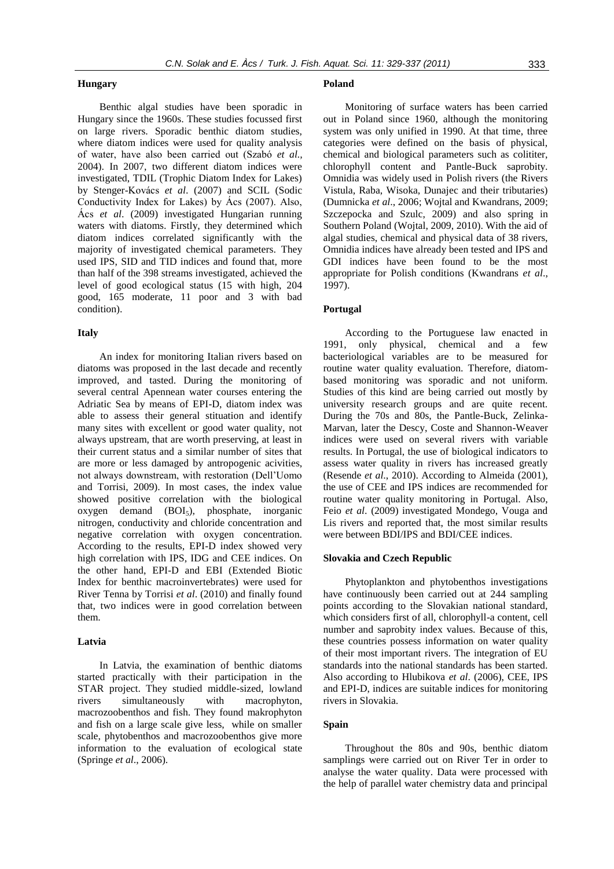# **Hungary**

Benthic algal studies have been sporadic in Hungary since the 1960s. These studies focussed first on large rivers. Sporadic benthic diatom studies, where diatom indices were used for quality analysis of water, have also been carried out (Szabó *et al.,*  2004). In 2007, two different diatom indices were investigated, TDIL (Trophic Diatom Index for Lakes) by Stenger-Kovács *et al*. (2007) and SCIL (Sodic Conductivity Index for Lakes) by Ács (2007). Also, Ács *et al*. (2009) investigated Hungarian running waters with diatoms. Firstly, they determined which diatom indices correlated significantly with the majority of investigated chemical parameters. They used IPS, SID and TID indices and found that, more than half of the 398 streams investigated, achieved the level of good ecological status (15 with high, 204 good, 165 moderate, 11 poor and 3 with bad condition).

# **Italy**

An index for monitoring Italian rivers based on diatoms was proposed in the last decade and recently improved, and tasted. During the monitoring of several central Apennean water courses entering the Adriatic Sea by means of EPI-D, diatom index was able to assess their general stituation and identify many sites with excellent or good water quality, not always upstream, that are worth preserving, at least in their current status and a similar number of sites that are more or less damaged by antropogenic acivities, not always downstream, with restoration (Dell'Uomo and Torrisi, 2009). In most cases, the index value showed positive correlation with the biological oxygen demand (BOI5), phosphate, inorganic nitrogen, conductivity and chloride concentration and negative correlation with oxygen concentration. According to the results, EPI-D index showed very high correlation with IPS, IDG and CEE indices. On the other hand, EPI-D and EBI (Extended Biotic Index for benthic macroinvertebrates) were used for River Tenna by Torrisi *et al*. (2010) and finally found that, two indices were in good correlation between them.

# **Latvia**

In Latvia, the examination of benthic diatoms started practically with their participation in the STAR project. They studied middle-sized, lowland rivers simultaneously with macrophyton, macrozoobenthos and fish. They found makrophyton and fish on a large scale give less, while on smaller scale, phytobenthos and macrozoobenthos give more information to the evaluation of ecological state (Springe *et al*., 2006).

### **Poland**

Monitoring of surface waters has been carried out in Poland since 1960, although the monitoring system was only unified in 1990. At that time, three categories were defined on the basis of physical, chemical and biological parameters such as colititer, chlorophyll content and Pantle-Buck saprobity. Omnidia was widely used in Polish rivers (the Rivers Vistula, Raba, Wisoka, Dunajec and their tributaries) (Dumnicka *et al*., 2006; Wojtal and Kwandrans, 2009; Szczepocka and Szulc, 2009) and also spring in Southern Poland (Wojtal, 2009, 2010). With the aid of algal studies, chemical and physical data of 38 rivers, Omnidia indices have already been tested and IPS and GDI indices have been found to be the most appropriate for Polish conditions (Kwandrans *et al*., 1997).

# **Portugal**

According to the Portuguese law enacted in 1991, only physical, chemical and a few bacteriological variables are to be measured for routine water quality evaluation. Therefore, diatombased monitoring was sporadic and not uniform. Studies of this kind are being carried out mostly by university research groups and are quite recent. During the 70s and 80s, the Pantle-Buck, Zelinka-Marvan, later the Descy, Coste and Shannon-Weaver indices were used on several rivers with variable results. In Portugal, the use of biological indicators to assess water quality in rivers has increased greatly (Resende *et al*., 2010). According to Almeida (2001), the use of CEE and IPS indices are recommended for routine water quality monitoring in Portugal. Also, Feio *et al*. (2009) investigated Mondego, Vouga and Lis rivers and reported that, the most similar results were between BDI/IPS and BDI/CEE indices.

#### **Slovakia and Czech Republic**

Phytoplankton and phytobenthos investigations have continuously been carried out at 244 sampling points according to the Slovakian national standard, which considers first of all, chlorophyll-a content, cell number and saprobity index values. Because of this, these countries possess information on water quality of their most important rivers. The integration of EU standards into the national standards has been started. Also according to Hlubikova *et al*. (2006), CEE, IPS and EPI-D, indices are suitable indices for monitoring rivers in Slovakia.

# **Spain**

Throughout the 80s and 90s, benthic diatom samplings were carried out on River Ter in order to analyse the water quality. Data were processed with the help of parallel water chemistry data and principal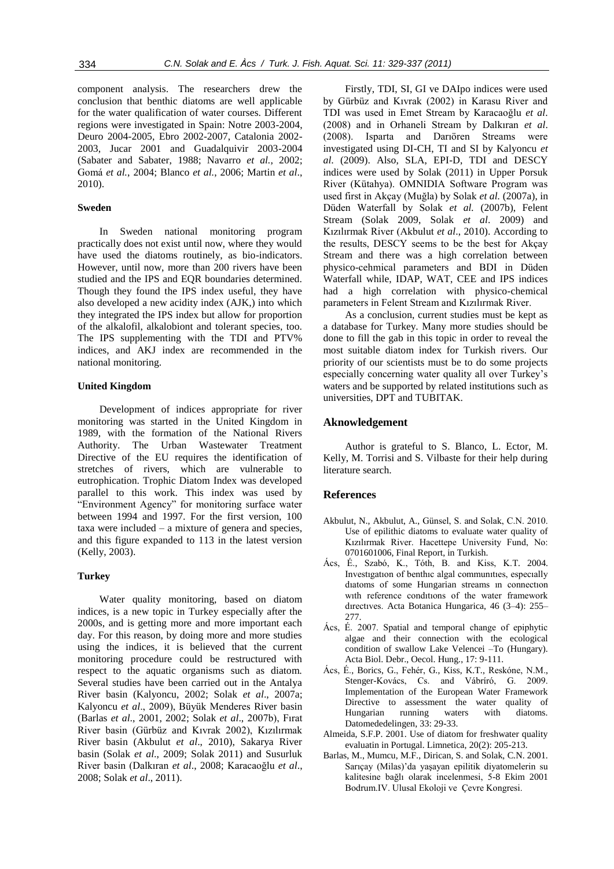component analysis. The researchers drew the conclusion that benthic diatoms are well applicable for the water qualification of water courses. Different regions were investigated in Spain: Notre 2003-2004, Deuro 2004-2005, Ebro 2002-2007, Catalonia 2002- 2003, Jucar 2001 and Guadalquivir 2003-2004 (Sabater and Sabater, 1988; Navarro *et al.*, 2002; Gomá *et al.*, 2004; Blanco *et al.*, 2006; Martin *et al*., 2010).

### **Sweden**

In Sweden national monitoring program practically does not exist until now, where they would have used the diatoms routinely, as bio-indicators. However, until now, more than 200 rivers have been studied and the IPS and EQR boundaries determined. Though they found the IPS index useful, they have also developed a new acidity index (AJK,) into which they integrated the IPS index but allow for proportion of the alkalofil, alkalobiont and tolerant species, too. The IPS supplementing with the TDI and PTV% indices, and AKJ index are recommended in the national monitoring.

# **United Kingdom**

Development of indices appropriate for river monitoring was started in the United Kingdom in 1989, with the formation of the National Rivers Authority. The Urban Wastewater Treatment Directive of the EU requires the identification of stretches of rivers, which are vulnerable to eutrophication. Trophic Diatom Index was developed parallel to this work. This index was used by "Environment Agency" for monitoring surface water between 1994 and 1997. For the first version, 100 taxa were included – a mixture of genera and species, and this figure expanded to 113 in the latest version (Kelly, 2003).

# **Turkey**

Water quality monitoring, based on diatom indices, is a new topic in Turkey especially after the 2000s, and is getting more and more important each day. For this reason, by doing more and more studies using the indices, it is believed that the current monitoring procedure could be restructured with respect to the aquatic organisms such as diatom. Several studies have been carried out in the Antalya River basin (Kalyoncu, 2002; Solak *et al*., 2007a; Kalyoncu *et al*., 2009), Büyük Menderes River basin (Barlas *et al*., 2001, 2002; Solak *et al*., 2007b), Fırat River basin (Gürbüz and Kıvrak 2002), Kızılırmak River basin (Akbulut *et al*., 2010), Sakarya River basin (Solak *et al*., 2009; Solak 2011) and Susurluk River basin (Dalkıran *et al*., 2008; Karacaoğlu *et al*., 2008; Solak *et al*., 2011).

Firstly, TDI, SI, GI ve DAIpo indices were used by Gürbüz and Kıvrak (2002) in Karasu River and TDI was used in Emet Stream by Karacaoğlu *et al*. (2008) and in Orhaneli Stream by Dalkıran *et al*. (2008). Isparta and Darıören Streams were investigated using DI-CH, TI and SI by Kalyoncu *et al*. (2009). Also, SLA, EPI-D, TDI and DESCY indices were used by Solak (2011) in Upper Porsuk River (Kütahya). OMNIDIA Software Program was used first in Akçay (Muğla) by Solak *et al.* (2007a), in Düden Waterfall by Solak *et al.* (2007b), Felent Stream (Solak 2009, Solak *et al*. 2009) and Kızılırmak River (Akbulut *et al*., 2010). According to the results, DESCY seems to be the best for Akçay Stream and there was a high correlation between physico-cehmical parameters and BDI in Düden Waterfall while, IDAP, WAT, CEE and IPS indices had a high correlation with physico-chemical parameters in Felent Stream and Kızılırmak River.

As a conclusion, current studies must be kept as a database for Turkey. Many more studies should be done to fill the gab in this topic in order to reveal the most suitable diatom index for Turkish rivers. Our priority of our scientists must be to do some projects especially concerning water quality all over Turkey's waters and be supported by related institutions such as universities, DPT and TUBITAK.

# **Aknowledgement**

Author is grateful to S. Blanco, L. Ector, M. Kelly, M. Torrisi and S. Vilbaste for their help during literature search.

### **References**

- Akbulut, N., Akbulut, A., Günsel, S. and Solak, C.N. 2010. Use of epilithic diatoms to evaluate water quality of Kızılırmak River. Hacettepe University Fund, No: 0701601006, Final Report, in Turkish.
- Ács, É., Szabó, K., Tóth, B. and Kiss, K.T. 2004. Investıgatıon of benthıc algal communıtıes, especıally dıatoms of some Hungarian streams ın connectıon wıth reference condıtıons of the water framework dırectıves. Acta Botanica Hungarica, 46 (3–4): 255– 277.
- Ács, É. 2007. Spatial and temporal change of epiphytic algae and their connection with the ecological condition of swallow Lake Velencei –To (Hungary). Acta Biol. Debr., Oecol. Hung., 17: 9-111.
- Ács, É., Borics, G., Fehér, G., Kiss, K.T., Reskóne, N.M., Stenger-Kovács, Cs. and Vábríró, G. 2009. Implementation of the European Water Framework Directive to assessment the water quality of Hungarian running waters with diatoms. Datomededelingen, 33: 29-33.
- Almeida, S.F.P. 2001. Use of diatom for freshwater quality evaluatin in Portugal. Limnetica, 20(2): 205-213.
- Barlas, M., Mumcu, M.F., Dirican, S. and Solak, C.N. 2001. Sarıçay (Milas)'da yaşayan epilitik diyatomelerin su kalitesine bağlı olarak incelenmesi, 5-8 Ekim 2001 Bodrum.IV. Ulusal Ekoloji ve Çevre Kongresi.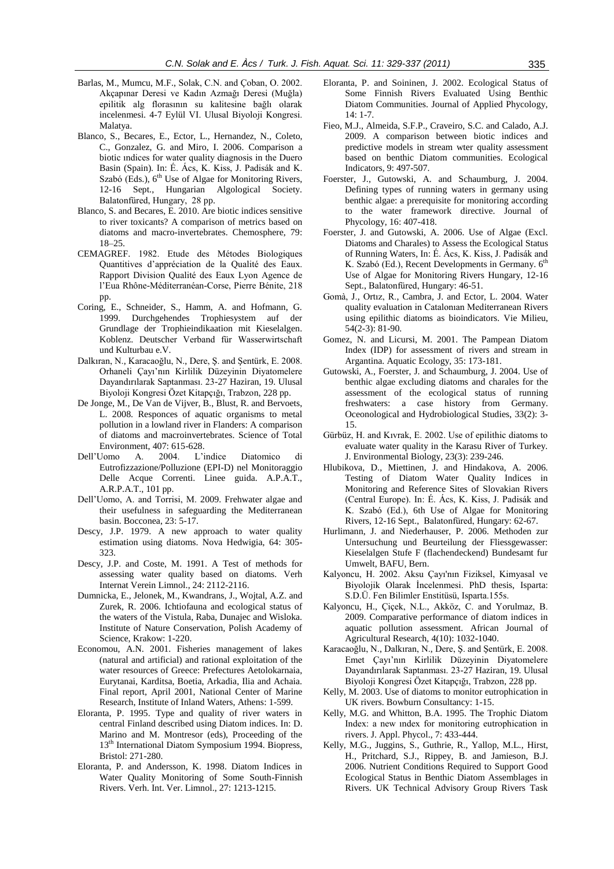- Barlas, M., Mumcu, M.F., Solak, C.N. and Çoban, O. 2002. Akçapınar Deresi ve Kadın Azmağı Deresi (Muğla) epilitik alg florasının su kalitesine bağlı olarak incelenmesi. 4-7 Eylül VI. Ulusal Biyoloji Kongresi. Malatya.
- Blanco, S., Becares, E., Ector, L., Hernandez, N., Coleto, C., Gonzalez, G. and Miro, I. 2006. Comparison a biotic ındices for water quality diagnosis in the Duero Basin (Spain). In: É. Ács, K. Kiss, J. Padisák and K. Szabó (Eds.), 6<sup>th</sup> Use of Algae for Monitoring Rivers, 12-16 Sept., Hungarian Algological Society. Balatonfüred, Hungary, 28 pp.
- Blanco, S. and Becares, E. 2010. Are biotic indices sensitive to river toxicants? A comparison of metrics based on diatoms and macro-invertebrates. Chemosphere, 79: 18–25.
- CEMAGREF. 1982. Etude des Métodes Biologiques Quantitives d'appréciation de la Qualité des Eaux. Rapport Division Qualité des Eaux Lyon Agence de l'Eua Rhône-Méditerranéan-Corse, Pierre Bénite, 218 pp.
- Coring, E., Schneider, S., Hamm, A. and Hofmann, G. 1999. Durchgehendes Trophiesystem auf der Grundlage der Trophieindikaation mit Kieselalgen. Koblenz. Deutscher Verband für Wasserwirtschaft und Kulturbau e.V.
- Dalkıran, N., Karacaoğlu, N., Dere, Ş. and Şentürk, E. 2008. Orhaneli Çayı'nın Kirlilik Düzeyinin Diyatomelere Dayandırılarak Saptanması. 23-27 Haziran, 19. Ulusal Biyoloji Kongresi Özet Kitapçığı, Trabzon, 228 pp.
- De Jonge, M., De Van de Vijver, B., Blust, R. and Bervoets, L. 2008. Responces of aquatic organisms to metal pollution in a lowland river in Flanders: A comparison of diatoms and macroinvertebrates. Science of Total Environment, 407: 615-628.
- Dell'Uomo A. 2004. L'indice Diatomico di Eutrofizzazione/Polluzione (EPI-D) nel Monitoraggio Delle Acque Correnti. Linee guida. A.P.A.T., A.R.P.A.T., 101 pp.
- Dell'Uomo, A. and Torrisi, M. 2009. Frehwater algae and their usefulness in safeguarding the Mediterranean basin. Bocconea, 23: 5-17.
- Descy, J.P. 1979. A new approach to water quality estimation using diatoms. Nova Hedwigia, 64: 305- 323.
- Descy, J.P. and Coste, M. 1991. A Test of methods for assessing water quality based on diatoms. Verh Internat Verein Limnol., 24: 2112-2116.
- Dumnicka, E., Jelonek, M., Kwandrans, J., Wojtal, A.Z. and Zurek, R. 2006. Ichtiofauna and ecological status of the waters of the Vistula, Raba, Dunajec and Wisloka. Institute of Nature Conservation, Polish Academy of Science, Krakow: 1-220.
- Economou, A.N. 2001. Fisheries management of lakes (natural and artificial) and rational exploitation of the water resources of Greece: Prefectures Aetolokarnaia, Eurytanai, Karditsa, Boetia, Arkadia, Ilia and Achaia. Final report, April 2001, National Center of Marine Research, Institute of Inland Waters, Athens: 1-599.
- Eloranta, P. 1995. Type and quality of river waters in central Finland described using Diatom indices. In: D. Marino and M. Montresor (eds), Proceeding of the 13<sup>th</sup> International Diatom Symposium 1994. Biopress, Bristol: 271-280.
- Eloranta, P. and Andersson, K. 1998. Diatom Indices in Water Quality Monitoring of Some South-Finnish Rivers. Verh. Int. Ver. Limnol., 27: 1213-1215.
- Eloranta, P. and Soininen, J. 2002. Ecological Status of Some Finnish Rivers Evaluated Using Benthic Diatom Communities. Journal of Applied Phycology, 14: 1-7.
- Fieo, M.J., Almeida, S.F.P., Craveiro, S.C. and Calado, A.J. 2009. A comparison between biotic indices and predictive models in stream wter quality assessment based on benthic Diatom communities. Ecological Indicators, 9: 497-507.
- Foerster, J., Gutowski, A. and Schaumburg, J. 2004. Defining types of running waters in germany using benthic algae: a prerequisite for monitoring according to the water framework directive. Journal of Phycology, 16: 407-418.
- Foerster, J. and Gutowski, A. 2006. Use of Algae (Excl. Diatoms and Charales) to Assess the Ecological Status of Running Waters, In: É. Ács, K. Kiss, J. Padisák and K. Szabó (Ed.), Recent Developments in Germany. 6<sup>th</sup> Use of Algae for Monitoring Rivers Hungary, 12-16 Sept., Balatonfüred, Hungary: 46-51.
- Gomà, J., Ortız, R., Cambra, J. and Ector, L. 2004. Water quality evaluation in Catalonıan Mediterranean Rivers using epilithic diatoms as bioindicators. Vie Milieu, 54(2-3): 81-90.
- Gomez, N. and Licursi, M. 2001. The Pampean Diatom Index (IDP) for assessment of rivers and stream in Argantina. Aquatic Ecology, 35: 173-181.
- Gutowski, A., Foerster, J. and Schaumburg, J. 2004. Use of benthic algae excluding diatoms and charales for the assessment of the ecological status of running freshwaters: a case history from Germany. Oceonological and Hydrobiological Studies, 33(2): 3- 15.
- Gürbüz, H. and Kıvrak, E. 2002. Use of epilithic diatoms to evaluate water quality in the Karasu River of Turkey. J. Environmental Biology, 23(3): 239-246.
- Hlubikova, D., Miettinen, J. and Hindakova, A. 2006. Testing of Diatom Water Quality Indices in Monitoring and Reference Sites of Slovakian Rivers (Central Europe). In: É. Ács, K. Kiss, J. Padisák and K. Szabó (Ed.), 6th Use of Algae for Monitoring Rivers, 12-16 Sept., Balatonfüred, Hungary: 62-67.
- Hurlimann, J. and Niederhauser, P. 2006. Methoden zur Untersuchung und Beurteilung der Fliessgewasser: Kieselalgen Stufe F (flachendeckend) Bundesamt fur Umwelt, BAFU, Bern.
- Kalyoncu, H. 2002. Aksu Çayı'nın Fiziksel, Kimyasal ve Biyolojik Olarak İncelenmesi. PhD thesis, Isparta: S.D.Ü. Fen Bilimler Enstitüsü, Isparta.155s.
- Kalyoncu, H., Çiçek, N.L., Akköz, C. and Yorulmaz, B. 2009. Comparative performance of diatom indices in aquatic pollution assessment. African Journal of Agricultural Research, 4(10): 1032-1040.
- Karacaoğlu, N., Dalkıran, N., Dere, Ş. and Şentürk, E. 2008. Emet Çayı'nın Kirlilik Düzeyinin Diyatomelere Dayandırılarak Saptanması. 23-27 Haziran, 19. Ulusal Biyoloji Kongresi Özet Kitapçığı, Trabzon, 228 pp.
- Kelly, M. 2003. Use of diatoms to monitor eutrophication in UK rivers. Bowburn Consultancy: 1-15.
- Kelly, M.G. and Whitton, B.A. 1995. The Trophic Diatom Index: a new ındex for monitoring eutrophication in rivers. J. Appl. Phycol., 7: 433-444.
- Kelly, M.G., Juggins, S., Guthrie, R., Yallop, M.L., Hirst, H., Pritchard, S.J., Rippey, B. and Jamieson, B.J. 2006. Nutrient Conditions Required to Support Good Ecological Status in Benthic Diatom Assemblages in Rivers. UK Technical Advisory Group Rivers Task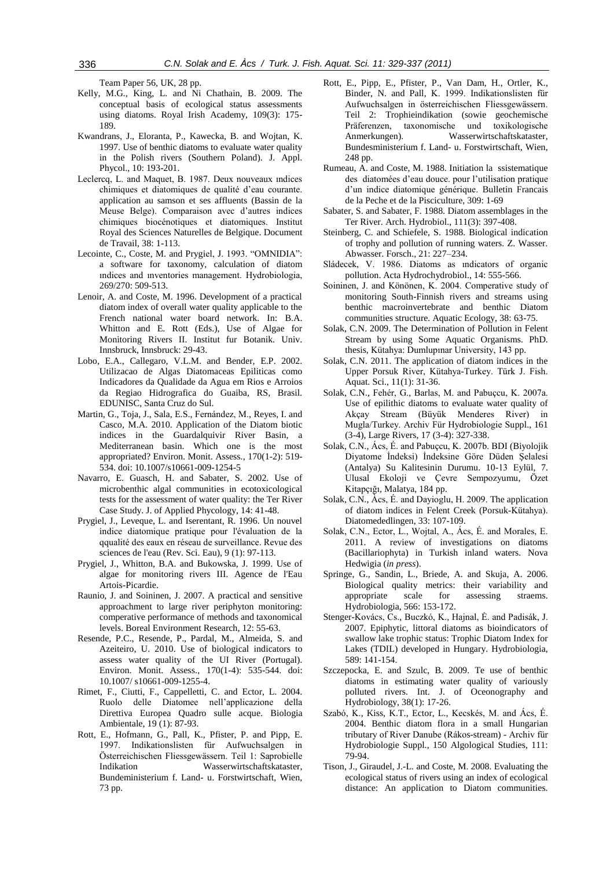Team Paper 56, UK, 28 pp.

- Kelly, M.G., King, L. and Ni Chathain, B. 2009. The conceptual basis of ecological status assessments using diatoms. Royal Irish Academy, 109(3): 175- 189.
- Kwandrans, J., Eloranta, P., Kawecka, B. and Wojtan, K. 1997. Use of benthic diatoms to evaluate water quality in the Polish rivers (Southern Poland). J. Appl. Phycol., 10: 193-201.
- Leclercq, L. and Maquet, B. 1987. Deux nouveaux ındices chimiques et diatomiques de qualité d'eau courante. application au samson et ses affluents (Bassin de la Meuse Belge). Comparaison avec d'autres indices chimiques biocénotiques et diatomiques. Institut Royal des Sciences Naturelles de Belgique. Document de Travail, 38: 1-113.
- Lecointe, C., Coste, M. and Prygiel, J. 1993. "OMNIDIA": a software for taxonomy, calculation of diatom ındices and ınventories management. Hydrobiologia, 269/270: 509-513.
- Lenoir, A. and Coste, M. 1996. Development of a practical diatom index of overall water quality applicable to the French national water board network. In: B.A. Whitton and E. Rott (Eds.), Use of Algae for Monitoring Rivers II. Institut fur Botanik. Univ. Innsbruck, Innsbruck: 29-43.
- Lobo, E.A., Callegaro, V.L.M. and Bender, E.P. 2002. Utilizacao de Algas Diatomaceas Epiliticas como Indicadores da Qualidade da Agua em Rios e Arroios da Regiao Hidrografica do Guaiba, RS, Brasil. EDUNISC, Santa Cruz do Sul.
- Martin, G., Toja, J., Sala, E.S., Fernández, M., Reyes, I. and Casco, M.A. 2010. Application of the Diatom biotic indices in the Guardalquivir River Basin, a Mediterranean basin. Which one is the most appropriated? Environ. Monit. Assess., 170(1-2): 519- 534. doi: 10.1007/s10661-009-1254-5
- Navarro, E. Guasch, H. and Sabater, S. 2002. Use of microbenthic algal communities in ecotoxicological tests for the assessment of water quality: the Ter River Case Study. J. of Applied Phycology, 14: 41-48.
- Prygiel, J., Leveque, L. and Iserentant, R. 1996. Un nouvel indice diatomique pratique pour l'évaluation de la qqualité des eaux en réseau de surveillance. Revue des sciences de l'eau (Rev. Sci. Eau), 9 (1): 97-113.
- Prygiel, J., Whitton, B.A. and Bukowska, J. 1999. Use of algae for monitoring rivers III. Agence de l'Eau Artois-Picardie.
- Raunio, J. and Soininen, J. 2007. A practical and sensitive approachment to large river periphyton monitoring: comperative performance of methods and taxonomical levels. Boreal Environment Research, 12: 55-63.
- Resende, P.C., Resende, P., Pardal, M., Almeida, S. and Azeiteiro, U. 2010. Use of biological indicators to assess water quality of the UI River (Portugal). Environ. Monit. Assess., 170(1-4): 535-544. doi: 10.1007/ s10661-009-1255-4.
- Rimet, F., Ciutti, F., Cappelletti, C. and Ector, L. 2004. Ruolo delle Diatomee nell'applicazione della Direttiva Europea Quadro sulle acque. Biologia Ambientale, 19 (1): 87-93.
- Rott, E., Hofmann, G., Pall, K., Pfister, P. and Pipp, E. 1997. Indikationslisten für Aufwuchsalgen in Österreichischen Fliessgewässern. Teil 1: Saprobielle Indikation Wasserwirtschaftskataster, Bundeministerium f. Land- u. Forstwirtschaft, Wien, 73 pp.
- Rott, E., Pipp, E., Pfister, P., Van Dam, H., Ortler, K., Binder, N. and Pall, K. 1999. Indikationslisten für Aufwuchsalgen in österreichischen Fliessgewässern. Teil 2: Trophieindikation (sowie geochemische Präferenzen, taxonomische und toxikologische Anmerkungen). Wasserwirtschaftskataster, Bundesministerium f. Land- u. Forstwirtschaft, Wien, 248 pp.
- Rumeau, A. and Coste, M. 1988. Initiation la ssistematique des diatomées d'eau douce. pour l'utilisation pratique d'un indice diatomique générique. Bulletin Francais de la Peche et de la Pisciculture, 309: 1-69
- Sabater, S. and Sabater, F. 1988. Diatom assemblages in the Ter River. Arch. Hydrobiol., 111(3): 397-408.
- Steinberg, C. and Schiefele, S. 1988. Biological indication of trophy and pollution of running waters. Z. Wasser. Abwasser. Forsch., 21: 227–234.
- Sládecek, V. 1986. Diatoms as ındicators of organic pollution. Acta Hydrochydrobiol., 14: 555-566.
- Soininen, J. and Könönen, K. 2004. Comperative study of monitoring South-Finnish rivers and streams using benthic macroinvertebrate and benthic Diatom communities structure. Aquatic Ecology, 38: 63-75.
- Solak, C.N. 2009. The Determination of Pollution in Felent Stream by using Some Aquatic Organisms. PhD. thesis, Kütahya: Dumlupınar University, 143 pp.
- Solak, C.N. 2011. The application of diatom indices in the Upper Porsuk River, Kütahya-Turkey. Türk J. Fish. Aquat. Sci., 11(1): 31-36.
- Solak, C.N., Fehér, G., Barlas, M. and Pabuçcu, K. 2007a. Use of epilithic diatoms to evaluate water quality of Akçay Stream (Büyük Menderes River) in Mugla/Turkey. Archiv Für Hydrobiologie Suppl., 161 (3-4), Large Rivers, 17 (3-4): 327-338.
- Solak, C.N., Ács, É. and Pabuçcu, K. 2007b. BDI (Biyolojik Diyatome İndeksi) İndeksine Göre Düden Şelalesi (Antalya) Su Kalitesinin Durumu. 10-13 Eylül, 7. Ulusal Ekoloji ve Çevre Sempozyumu, Özet Kitapçığı, Malatya, 184 pp.
- Solak, C.N., Àcs, É. and Dayioglu, H. 2009. The application of diatom indices in Felent Creek (Porsuk-Kütahya). Diatomededlingen, 33: 107-109.
- Solak, C.N., Ector, L., Wojtal, A., Ács, É. and Morales, E. 2011. A review of investigations on diatoms (Bacillariophyta) in Turkish inland waters. Nova Hedwigia (*in press*).
- Springe, G., Sandin, L., Briede, A. and Skuja, A. 2006. Biological quality metrics: their variability and appropriate scale for assessing straems. Hydrobiologia, 566: 153-172.
- Stenger-Kovács, Cs., Buczkó, K., Hajnal, Ė. and Padisák, J. 2007. Epiphytic, littoral diatoms as bioindicators of swallow lake trophic status: Trophic Diatom Index for Lakes (TDIL) developed in Hungary. Hydrobiologia, 589: 141-154.
- Szczepocka, E. and Szulc, B. 2009. Te use of benthic diatoms in estimating water quality of variously polluted rivers. Int. J. of Oceonography and Hydrobiology, 38(1): 17-26.
- Szabó, K., Kiss, K.T., Ector, L., Kecskés, M. and Ács, É. 2004. Benthic diatom flora in a small Hungarian tributary of River Danube (Rákos-stream) - Archiv für Hydrobiologie Suppl., 150 Algological Studies, 111: 79-94.
- Tison, J., Giraudel, J.-L. and Coste, M. 2008. Evaluating the ecological status of rivers using an index of ecological distance: An application to Diatom communities.